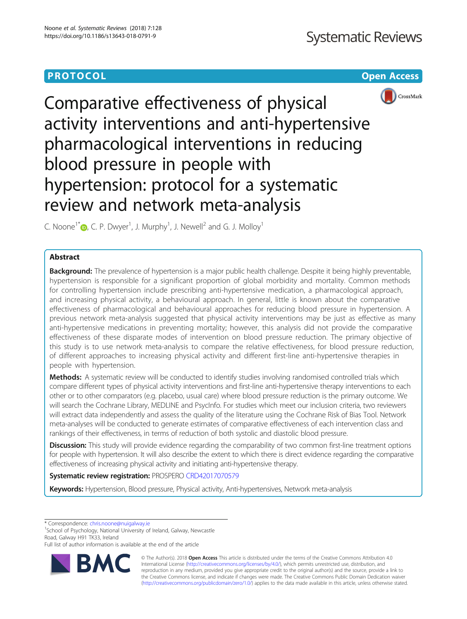# **PROTOCOL CONSUMING THE CONSUMING TEACHER CONSUMING THE CONSUMING TEACHER CONSUMING THE CONSUMING TEACHER CONSUMING**



Comparative effectiveness of physical activity interventions and anti-hypertensive pharmacological interventions in reducing blood pressure in people with hypertension: protocol for a systematic review and network meta-analysis

C. Noone $1^{\ast}$  (d), C. P. Dwyer<sup>1</sup>, J. Murphy<sup>1</sup>, J. Newell<sup>2</sup> and G. J. Molloy<sup>1</sup>

# Abstract

Background: The prevalence of hypertension is a major public health challenge. Despite it being highly preventable, hypertension is responsible for a significant proportion of global morbidity and mortality. Common methods for controlling hypertension include prescribing anti-hypertensive medication, a pharmacological approach, and increasing physical activity, a behavioural approach. In general, little is known about the comparative effectiveness of pharmacological and behavioural approaches for reducing blood pressure in hypertension. A previous network meta-analysis suggested that physical activity interventions may be just as effective as many anti-hypertensive medications in preventing mortality; however, this analysis did not provide the comparative effectiveness of these disparate modes of intervention on blood pressure reduction. The primary objective of this study is to use network meta-analysis to compare the relative effectiveness, for blood pressure reduction, of different approaches to increasing physical activity and different first-line anti-hypertensive therapies in people with hypertension.

Methods: A systematic review will be conducted to identify studies involving randomised controlled trials which compare different types of physical activity interventions and first-line anti-hypertensive therapy interventions to each other or to other comparators (e.g. placebo, usual care) where blood pressure reduction is the primary outcome. We will search the Cochrane Library, MEDLINE and PsycInfo. For studies which meet our inclusion criteria, two reviewers will extract data independently and assess the quality of the literature using the Cochrane Risk of Bias Tool. Network meta-analyses will be conducted to generate estimates of comparative effectiveness of each intervention class and rankings of their effectiveness, in terms of reduction of both systolic and diastolic blood pressure.

**Discussion:** This study will provide evidence regarding the comparability of two common first-line treatment options for people with hypertension. It will also describe the extent to which there is direct evidence regarding the comparative effectiveness of increasing physical activity and initiating anti-hypertensive therapy.

Systematic review registration: PROSPERO [CRD42017070579](https://www.crd.york.ac.uk/prospero/display_record.php?RecordID=78548)

Keywords: Hypertension, Blood pressure, Physical activity, Anti-hypertensives, Network meta-analysis

\* Correspondence: [chris.noone@nuigalway.ie](mailto:chris.noone@nuigalway.ie) <sup>1</sup>

<sup>1</sup>School of Psychology, National University of Ireland, Galway, Newcastle Road, Galway H91 TK33, Ireland

Full list of author information is available at the end of the article



© The Author(s). 2018 Open Access This article is distributed under the terms of the Creative Commons Attribution 4.0 International License [\(http://creativecommons.org/licenses/by/4.0/](http://creativecommons.org/licenses/by/4.0/)), which permits unrestricted use, distribution, and reproduction in any medium, provided you give appropriate credit to the original author(s) and the source, provide a link to the Creative Commons license, and indicate if changes were made. The Creative Commons Public Domain Dedication waiver [\(http://creativecommons.org/publicdomain/zero/1.0/](http://creativecommons.org/publicdomain/zero/1.0/)) applies to the data made available in this article, unless otherwise stated.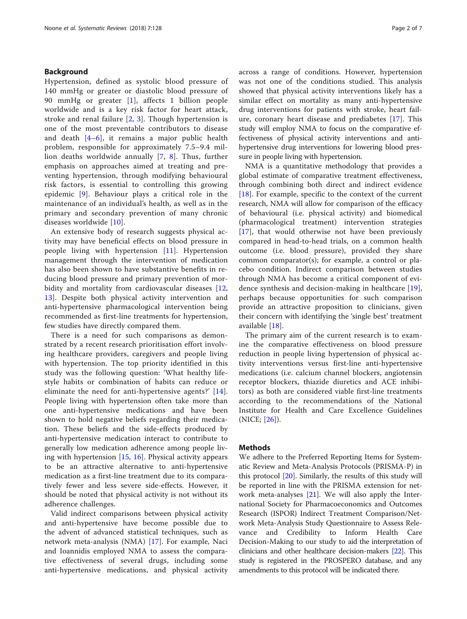# Background

Hypertension, defined as systolic blood pressure of 140 mmHg or greater or diastolic blood pressure of 90 mmHg or greater [\[1](#page-5-0)], affects 1 billion people worldwide and is a key risk factor for heart attack, stroke and renal failure  $[2, 3]$  $[2, 3]$  $[2, 3]$  $[2, 3]$ . Though hypertension is one of the most preventable contributors to disease and death [[4](#page-5-0)–[6](#page-5-0)], it remains a major public health problem, responsible for approximately 7.5–9.4 million deaths worldwide annually [[7,](#page-5-0) [8](#page-5-0)]. Thus, further emphasis on approaches aimed at treating and preventing hypertension, through modifying behavioural risk factors, is essential to controlling this growing epidemic [[9](#page-5-0)]. Behaviour plays a critical role in the maintenance of an individual's health, as well as in the primary and secondary prevention of many chronic diseases worldwide [[10](#page-5-0)].

An extensive body of research suggests physical activity may have beneficial effects on blood pressure in people living with hypertension [\[11](#page-5-0)]. Hypertension management through the intervention of medication has also been shown to have substantive benefits in reducing blood pressure and primary prevention of mor-bidity and mortality from cardiovascular diseases [\[12](#page-5-0), [13\]](#page-6-0). Despite both physical activity intervention and anti-hypertensive pharmacological intervention being recommended as first-line treatments for hypertension, few studies have directly compared them.

There is a need for such comparisons as demonstrated by a recent research prioritisation effort involving healthcare providers, caregivers and people living with hypertension. The top priority identified in this study was the following question: 'What healthy lifestyle habits or combination of habits can reduce or eliminate the need for anti-hypertensive agents?' [[14](#page-6-0)]. People living with hypertension often take more than one anti-hypertensive medications and have been shown to hold negative beliefs regarding their medication. These beliefs and the side-effects produced by anti-hypertensive medication interact to contribute to generally low medication adherence among people living with hypertension [[15,](#page-6-0) [16](#page-6-0)]. Physical activity appears to be an attractive alternative to anti-hypertensive medication as a first-line treatment due to its comparatively fewer and less severe side-effects. However, it should be noted that physical activity is not without its adherence challenges.

Valid indirect comparisons between physical activity and anti-hypertensive have become possible due to the advent of advanced statistical techniques, such as network meta-analysis (NMA) [[17\]](#page-6-0). For example, Naci and Ioannidis employed NMA to assess the comparative effectiveness of several drugs, including some anti-hypertensive medications, and physical activity across a range of conditions. However, hypertension was not one of the conditions studied. This analysis showed that physical activity interventions likely has a similar effect on mortality as many anti-hypertensive drug interventions for patients with stroke, heart failure, coronary heart disease and prediabetes [\[17](#page-6-0)]. This study will employ NMA to focus on the comparative effectiveness of physical activity interventions and antihypertensive drug interventions for lowering blood pressure in people living with hypertension.

NMA is a quantitative methodology that provides a global estimate of comparative treatment effectiveness, through combining both direct and indirect evidence [[18\]](#page-6-0). For example, specific to the context of the current research, NMA will allow for comparison of the efficacy of behavioural (i.e. physical activity) and biomedical (pharmacological treatment) intervention strategies [[17\]](#page-6-0), that would otherwise not have been previously compared in head-to-head trials, on a common health outcome (i.e. blood pressure), provided they share common comparator(s); for example, a control or placebo condition. Indirect comparison between studies through NMA has become a critical component of evidence synthesis and decision-making in healthcare [\[19](#page-6-0)], perhaps because opportunities for such comparison provide an attractive proposition to clinicians, given their concern with identifying the 'single best' treatment available [[18](#page-6-0)].

The primary aim of the current research is to examine the comparative effectiveness on blood pressure reduction in people living hypertension of physical activity interventions versus first-line anti-hypertensive medications (i.e. calcium channel blockers, angiotensin receptor blockers, thiazide diuretics and ACE inhibitors) as both are considered viable first-line treatments according to the recommendations of the National Institute for Health and Care Excellence Guidelines (NICE; [[26\]](#page-6-0)).

# **Methods**

We adhere to the Preferred Reporting Items for Systematic Review and Meta-Analysis Protocols (PRISMA-P) in this protocol [[20](#page-6-0)]. Similarly, the results of this study will be reported in line with the PRISMA extension for network meta-analyses [\[21\]](#page-6-0). We will also apply the International Society for Pharmacoeconomics and Outcomes Research (ISPOR) Indirect Treatment Comparison/Network Meta-Analysis Study Questionnaire to Assess Relevance and Credibility to Inform Health Care Decision-Making to our study to aid the interpretation of clinicians and other healthcare decision-makers [[22](#page-6-0)]. This study is registered in the PROSPERO database, and any amendments to this protocol will be indicated there.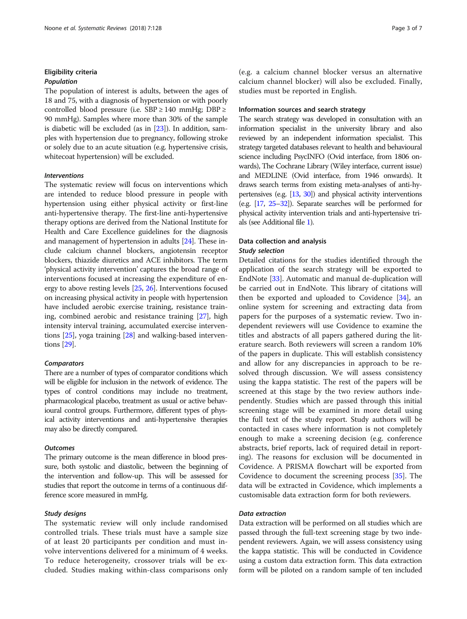# Eligibility criteria Population

The population of interest is adults, between the ages of 18 and 75, with a diagnosis of hypertension or with poorly controlled blood pressure (i.e. SBP ≥ 140 mmHg; DBP ≥ 90 mmHg). Samples where more than 30% of the sample is diabetic will be excluded (as in [\[23\]](#page-6-0)). In addition, samples with hypertension due to pregnancy, following stroke or solely due to an acute situation (e.g. hypertensive crisis, whitecoat hypertension) will be excluded.

# Interventions

The systematic review will focus on interventions which are intended to reduce blood pressure in people with hypertension using either physical activity or first-line anti-hypertensive therapy. The first-line anti-hypertensive therapy options are derived from the National Institute for Health and Care Excellence guidelines for the diagnosis and management of hypertension in adults [[24\]](#page-6-0). These include calcium channel blockers, angiotensin receptor blockers, thiazide diuretics and ACE inhibitors. The term 'physical activity intervention' captures the broad range of interventions focused at increasing the expenditure of energy to above resting levels [\[25,](#page-6-0) [26\]](#page-6-0). Interventions focused on increasing physical activity in people with hypertension have included aerobic exercise training, resistance training, combined aerobic and resistance training [[27\]](#page-6-0), high intensity interval training, accumulated exercise interventions [[25](#page-6-0)], yoga training [[28](#page-6-0)] and walking-based interventions [\[29\]](#page-6-0).

### **Comparators**

There are a number of types of comparator conditions which will be eligible for inclusion in the network of evidence. The types of control conditions may include no treatment, pharmacological placebo, treatment as usual or active behavioural control groups. Furthermore, different types of physical activity interventions and anti-hypertensive therapies may also be directly compared.

# **Outcomes**

The primary outcome is the mean difference in blood pressure, both systolic and diastolic, between the beginning of the intervention and follow-up. This will be assessed for studies that report the outcome in terms of a continuous difference score measured in mmHg.

## Study designs

The systematic review will only include randomised controlled trials. These trials must have a sample size of at least 20 participants per condition and must involve interventions delivered for a minimum of 4 weeks. To reduce heterogeneity, crossover trials will be excluded. Studies making within-class comparisons only

(e.g. a calcium channel blocker versus an alternative calcium channel blocker) will also be excluded. Finally, studies must be reported in English.

# Information sources and search strategy

The search strategy was developed in consultation with an information specialist in the university library and also reviewed by an independent information specialist. This strategy targeted databases relevant to health and behavioural science including PsycINFO (Ovid interface, from 1806 onwards), The Cochrane Library (Wiley interface, current issue) and MEDLINE (Ovid interface, from 1946 onwards). It draws search terms from existing meta-analyses of anti-hypertensives (e.g. [\[13](#page-6-0), [30](#page-6-0)]) and physical activity interventions (e.g. [\[17](#page-6-0), [25](#page-6-0)–[32\]](#page-6-0)). Separate searches will be performed for physical activity intervention trials and anti-hypertensive trials (see Additional file [1\)](#page-5-0).

# Data collection and analysis

# Study selection

Detailed citations for the studies identified through the application of the search strategy will be exported to EndNote [\[33\]](#page-6-0). Automatic and manual de-duplication will be carried out in EndNote. This library of citations will then be exported and uploaded to Covidence [[34\]](#page-6-0), an online system for screening and extracting data from papers for the purposes of a systematic review. Two independent reviewers will use Covidence to examine the titles and abstracts of all papers gathered during the literature search. Both reviewers will screen a random 10% of the papers in duplicate. This will establish consistency and allow for any discrepancies in approach to be resolved through discussion. We will assess consistency using the kappa statistic. The rest of the papers will be screened at this stage by the two review authors independently. Studies which are passed through this initial screening stage will be examined in more detail using the full text of the study report. Study authors will be contacted in cases where information is not completely enough to make a screening decision (e.g. conference abstracts, brief reports, lack of required detail in reporting). The reasons for exclusion will be documented in Covidence. A PRISMA flowchart will be exported from Covidence to document the screening process [[35](#page-6-0)]. The data will be extracted in Covidence, which implements a customisable data extraction form for both reviewers.

## Data extraction

Data extraction will be performed on all studies which are passed through the full-text screening stage by two independent reviewers. Again, we will assess consistency using the kappa statistic. This will be conducted in Covidence using a custom data extraction form. This data extraction form will be piloted on a random sample of ten included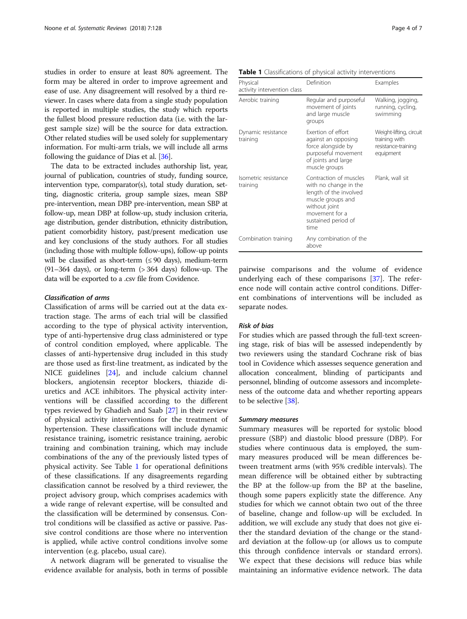studies in order to ensure at least 80% agreement. The form may be altered in order to improve agreement and ease of use. Any disagreement will resolved by a third reviewer. In cases where data from a single study population is reported in multiple studies, the study which reports the fullest blood pressure reduction data (i.e. with the largest sample size) will be the source for data extraction. Other related studies will be used solely for supplementary information. For multi-arm trials, we will include all arms following the guidance of Dias et al. [\[36\]](#page-6-0).

The data to be extracted includes authorship list, year, journal of publication, countries of study, funding source, intervention type, comparator(s), total study duration, setting, diagnostic criteria, group sample sizes, mean SBP pre-intervention, mean DBP pre-intervention, mean SBP at follow-up, mean DBP at follow-up, study inclusion criteria, age distribution, gender distribution, ethnicity distribution, patient comorbidity history, past/present medication use and key conclusions of the study authors. For all studies (including those with multiple follow-ups), follow-up points will be classified as short-term  $(\leq 90 \text{ days})$ , medium-term  $(91–364$  days), or long-term  $(>364$  days) follow-up. The data will be exported to a .csv file from Covidence.

# Classification of arms

Classification of arms will be carried out at the data extraction stage. The arms of each trial will be classified according to the type of physical activity intervention, type of anti-hypertensive drug class administered or type of control condition employed, where applicable. The classes of anti-hypertensive drug included in this study are those used as first-line treatment, as indicated by the NICE guidelines [\[24\]](#page-6-0), and include calcium channel blockers, angiotensin receptor blockers, thiazide diuretics and ACE inhibitors. The physical activity interventions will be classified according to the different types reviewed by Ghadieh and Saab [\[27](#page-6-0)] in their review of physical activity interventions for the treatment of hypertension. These classifications will include dynamic resistance training, isometric resistance training, aerobic training and combination training, which may include combinations of the any of the previously listed types of physical activity. See Table 1 for operational definitions of these classifications. If any disagreements regarding classification cannot be resolved by a third reviewer, the project advisory group, which comprises academics with a wide range of relevant expertise, will be consulted and the classification will be determined by consensus. Control conditions will be classified as active or passive. Passive control conditions are those where no intervention is applied, while active control conditions involve some intervention (e.g. placebo, usual care).

A network diagram will be generated to visualise the evidence available for analysis, both in terms of possible

| Table 1 Classifications of physical activity interventions |  |
|------------------------------------------------------------|--|
|------------------------------------------------------------|--|

| Physical<br>activity intervention class | Definition                                                                                                                                                       | Examples                                                                     |
|-----------------------------------------|------------------------------------------------------------------------------------------------------------------------------------------------------------------|------------------------------------------------------------------------------|
| Aerobic training                        | Regular and purposeful<br>movement of joints<br>and large muscle<br>groups                                                                                       | Walking, jogging,<br>running, cycling,<br>swimming                           |
| Dynamic resistance<br>training          | Exertion of effort<br>against an opposing<br>force alongside by<br>purposeful movement<br>of joints and large<br>muscle groups                                   | Weight-lifting, circuit<br>training with<br>resistance-training<br>equipment |
| Isometric resistance<br>training        | Contraction of muscles<br>with no change in the<br>length of the involved<br>muscle groups and<br>without joint<br>movement for a<br>sustained period of<br>time | Plank, wall sit                                                              |
| Combination training                    | Any combination of the<br>above                                                                                                                                  |                                                                              |

pairwise comparisons and the volume of evidence underlying each of these comparisons [\[37](#page-6-0)]. The reference node will contain active control conditions. Different combinations of interventions will be included as separate nodes.

### Risk of bias

For studies which are passed through the full-text screening stage, risk of bias will be assessed independently by two reviewers using the standard Cochrane risk of bias tool in Covidence which assesses sequence generation and allocation concealment, blinding of participants and personnel, blinding of outcome assessors and incompleteness of the outcome data and whether reporting appears to be selective [[38](#page-6-0)].

### Summary measures

Summary measures will be reported for systolic blood pressure (SBP) and diastolic blood pressure (DBP). For studies where continuous data is employed, the summary measures produced will be mean differences between treatment arms (with 95% credible intervals). The mean difference will be obtained either by subtracting the BP at the follow-up from the BP at the baseline, though some papers explicitly state the difference. Any studies for which we cannot obtain two out of the three of baseline, change and follow-up will be excluded. In addition, we will exclude any study that does not give either the standard deviation of the change or the standard deviation at the follow-up (or allows us to compute this through confidence intervals or standard errors). We expect that these decisions will reduce bias while maintaining an informative evidence network. The data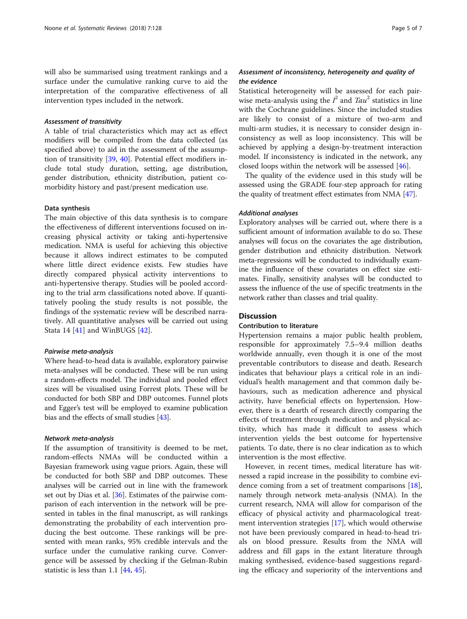will also be summarised using treatment rankings and a surface under the cumulative ranking curve to aid the interpretation of the comparative effectiveness of all intervention types included in the network.

#### Assessment of transitivity

A table of trial characteristics which may act as effect modifiers will be compiled from the data collected (as specified above) to aid in the assessment of the assumption of transitivity [[39,](#page-6-0) [40](#page-6-0)]. Potential effect modifiers include total study duration, setting, age distribution, gender distribution, ethnicity distribution, patient comorbidity history and past/present medication use.

# Data synthesis

The main objective of this data synthesis is to compare the effectiveness of different interventions focused on increasing physical activity or taking anti-hypertensive medication. NMA is useful for achieving this objective because it allows indirect estimates to be computed where little direct evidence exists. Few studies have directly compared physical activity interventions to anti-hypertensive therapy. Studies will be pooled according to the trial arm classifications noted above. If quantitatively pooling the study results is not possible, the findings of the systematic review will be described narratively. All quantitative analyses will be carried out using Stata 14 [[41\]](#page-6-0) and WinBUGS [[42\]](#page-6-0).

### Pairwise meta-analysis

Where head-to-head data is available, exploratory pairwise meta-analyses will be conducted. These will be run using a random-effects model. The individual and pooled effect sizes will be visualised using Forrest plots. These will be conducted for both SBP and DBP outcomes. Funnel plots and Egger's test will be employed to examine publication bias and the effects of small studies [\[43\]](#page-6-0).

### Network meta-analysis

If the assumption of transitivity is deemed to be met, random-effects NMAs will be conducted within a Bayesian framework using vague priors. Again, these will be conducted for both SBP and DBP outcomes. These analyses will be carried out in line with the framework set out by Dias et al. [\[36](#page-6-0)]. Estimates of the pairwise comparison of each intervention in the network will be presented in tables in the final manuscript, as will rankings demonstrating the probability of each intervention producing the best outcome. These rankings will be presented with mean ranks, 95% credible intervals and the surface under the cumulative ranking curve. Convergence will be assessed by checking if the Gelman-Rubin statistic is less than  $1.1$  [[44,](#page-6-0) [45](#page-6-0)].

# Assessment of inconsistency, heterogeneity and quality of the evidence

Statistical heterogeneity will be assessed for each pairwise meta-analysis using the  $I^2$  and  $Tau^2$  statistics in line with the Cochrane guidelines. Since the included studies are likely to consist of a mixture of two-arm and multi-arm studies, it is necessary to consider design inconsistency as well as loop inconsistency. This will be achieved by applying a design-by-treatment interaction model. If inconsistency is indicated in the network, any closed loops within the network will be assessed [[46](#page-6-0)].

The quality of the evidence used in this study will be assessed using the GRADE four-step approach for rating the quality of treatment effect estimates from NMA [\[47\]](#page-6-0).

## Additional analyses

Exploratory analyses will be carried out, where there is a sufficient amount of information available to do so. These analyses will focus on the covariates the age distribution, gender distribution and ethnicity distribution. Network meta-regressions will be conducted to individually examine the influence of these covariates on effect size estimates. Finally, sensitivity analyses will be conducted to assess the influence of the use of specific treatments in the network rather than classes and trial quality.

# **Discussion**

### Contribution to literature

Hypertension remains a major public health problem, responsible for approximately 7.5–9.4 million deaths worldwide annually, even though it is one of the most preventable contributors to disease and death. Research indicates that behaviour plays a critical role in an individual's health management and that common daily behaviours, such as medication adherence and physical activity, have beneficial effects on hypertension. However, there is a dearth of research directly comparing the effects of treatment through medication and physical activity, which has made it difficult to assess which intervention yields the best outcome for hypertensive patients. To date, there is no clear indication as to which intervention is the most effective.

However, in recent times, medical literature has witnessed a rapid increase in the possibility to combine evidence coming from a set of treatment comparisons [\[18](#page-6-0)], namely through network meta-analysis (NMA). In the current research, NMA will allow for comparison of the efficacy of physical activity and pharmacological treatment intervention strategies [[17\]](#page-6-0), which would otherwise not have been previously compared in head-to-head trials on blood pressure. Results from the NMA will address and fill gaps in the extant literature through making synthesised, evidence-based suggestions regarding the efficacy and superiority of the interventions and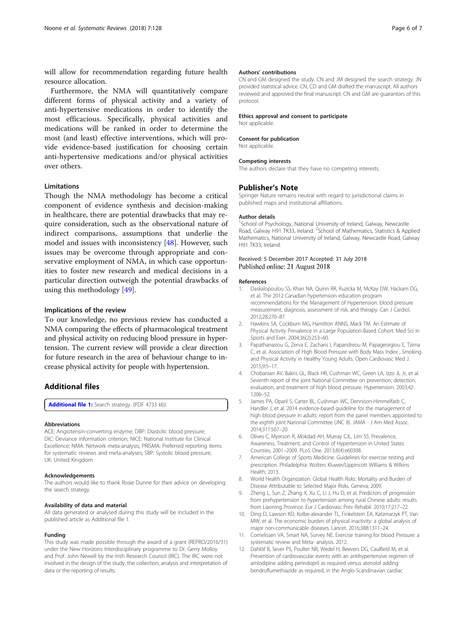<span id="page-5-0"></span>will allow for recommendation regarding future health resource allocation.

Furthermore, the NMA will quantitatively compare different forms of physical activity and a variety of anti-hypertensive medications in order to identify the most efficacious. Specifically, physical activities and medications will be ranked in order to determine the most (and least) effective interventions, which will provide evidence-based justification for choosing certain anti-hypertensive medications and/or physical activities over others.

# **Limitations**

Though the NMA methodology has become a critical component of evidence synthesis and decision-making in healthcare, there are potential drawbacks that may require consideration, such as the observational nature of indirect comparisons, assumptions that underlie the model and issues with inconsistency [\[48](#page-6-0)]. However, such issues may be overcome through appropriate and conservative employment of NMA, in which case opportunities to foster new research and medical decisions in a particular direction outweigh the potential drawbacks of using this methodology [[49](#page-6-0)].

# Implications of the review

To our knowledge, no previous review has conducted a NMA comparing the effects of pharmacological treatment and physical activity on reducing blood pressure in hypertension. The current review will provide a clear direction for future research in the area of behaviour change to increase physical activity for people with hypertension.

# Additional files

[Additional file 1:](https://doi.org/10.1186/s13643-018-0791-9) Search strategy. (PDF 4733 kb)

#### Abbreviations

ACE: Angiotensin-converting enzyme; DBP: Diastolic blood pressure; DIC: Deviance information criterion; NICE: National Institute for Clinical Excellence; NMA: Network meta-analysis; PRISMA: Preferred reporting items for systematic reviews and meta-analyses; SBP: Systolic blood pressure; UK: United Kingdom

#### Acknowledgements

The authors would like to thank Rosie Dunne for their advice on developing the search strategy.

#### Availability of data and material

All data generated or analysed during this study will be included in the published article as Additional file 1.

#### Funding

This study was made possible through the award of a grant (REPRO/2016/31) under the New Horizons Interdisciplinary programme to Dr. Gerry Molloy and Prof. John Newell by the Irish Research Council (IRC). The IRC were not involved in the design of the study, the collection, analysis and interpretation of data or the reporting of results.

#### Authors' contributions

CN and GM designed the study. CN and JM designed the search strategy. JN provided statistical advice. CN, CD and GM drafted the manuscript. All authors reviewed and approved the final manuscript. CN and GM are guarantors of this protocol.

#### Ethics approval and consent to participate

Not applicable.

### Consent for publication

Not applicable.

### Competing interests

The authors declare that they have no competing interests.

# Publisher's Note

Springer Nature remains neutral with regard to jurisdictional claims in published maps and institutional affiliations.

#### Author details

<sup>1</sup>School of Psychology, National University of Ireland, Galway, Newcastle Road, Galway H91 TK33, Ireland. <sup>2</sup>School of Mathematics, Statistics & Applied Mathematics, National University of Ireland, Galway, Newcastle Road, Galway H91 TK33, Ireland.

### Received: 5 December 2017 Accepted: 31 July 2018 Published online: 21 August 2018

#### References

- Daskalopoulou SS, Khan NA, Quinn RR, Ruzicka M, McKay DW, Hackam DG, et al. The 2012 Canadian hypertension education program recommendations for the Management of Hypertension: blood pressure measurement, diagnosis, assessment of risk, and therapy. Can J Cardiol. 2012;28:270–87.
- 2. Hawkins SA, Cockburn MG, Hamilton ANNS, Mack TM. An Estimate of Physical Activity Prevalence in a Large Population-Based Cohort. Med Sci in Sports and Exer. 2004;36(2):253–60.
- 3. Papathanasiou G, Zerva E, Zacharis I, Papandreou M, Papageorgiou E, Tzima C, et al. Association of High Blood Pressure with Body Mass Index , Smoking and Physical Activity in Healthy Young Adults. Open Cardiovasc Med J. 2015;9:5–17.
- 4. Chobanian AV, Bakris GL, Black HR, Cushman WC, Green LA, Izzo JL Jr, et al. Seventh report of the joint National Committee on prevention, detection, evaluation, and treatment of high blood pressure. Hypertension. 2003;42: 1206–52.
- 5. James PA, Oparil S, Carter BL, Cushman WC, Dennison-Himmelfarb C, Handler J, et al. 2014 evidence-based guideline for the management of high blood pressure in adults: report from the panel members appointed to the eighth joint National Committee (JNC 8). JAMA - J Am Med Assoc. 2014;311:507–20.
- 6. Olives C, Myerson R, Mokdad AH, Murray CJL, Lim SS. Prevalence, Awareness, Treatment, and Control of Hypertension in United States Counties, 2001–2009. PLoS One. 2013;8(4):e60308.
- 7. American College of Sports Medicine. Guidelines for exercise testing and prescription. Philadelphia: Wolters Kluwer/Lippincott Williams & Wilkins Health; 2013.
- 8. World Health Organization. Global Health Risks: Mortality and Burden of Disease Attributable to Selected Major Risks. Geneva; 2009.
- 9. Zheng L, Sun Z, Zhang X, Xu C, Li J, Hu D, et al. Predictors of progression from prehypertension to hypertension among rural Chinese adults: results from Liaoning Province. Eur J Cardiovasc Prev Rehabil. 2010;17:217–22.
- 10. Ding D, Lawson KD, Kolbe-alexander TL, Finkelstein EA, Katzmarzyk PT, Van MW, et al. The economic burden of physical inactivity: a global analysis of major non-communicable diseases. Lancet. 2016;388:1311–24.
- 11. Cornelissen VA, Smart NA, Survey NE. Exercise training for blood Pressure: a systematic review and Meta- analysis. 2012.
- 12. Dahlöf B, Sever PS, Poulter NR, Wedel H, Beevers DG, Caulfield M, et al. Prevention of cardiovascular events with an antihypertensive regimen of amlodipine adding perindopril as required versus atenolol adding bendroflumethiazide as required, in the Anglo-Scandinavian cardiac